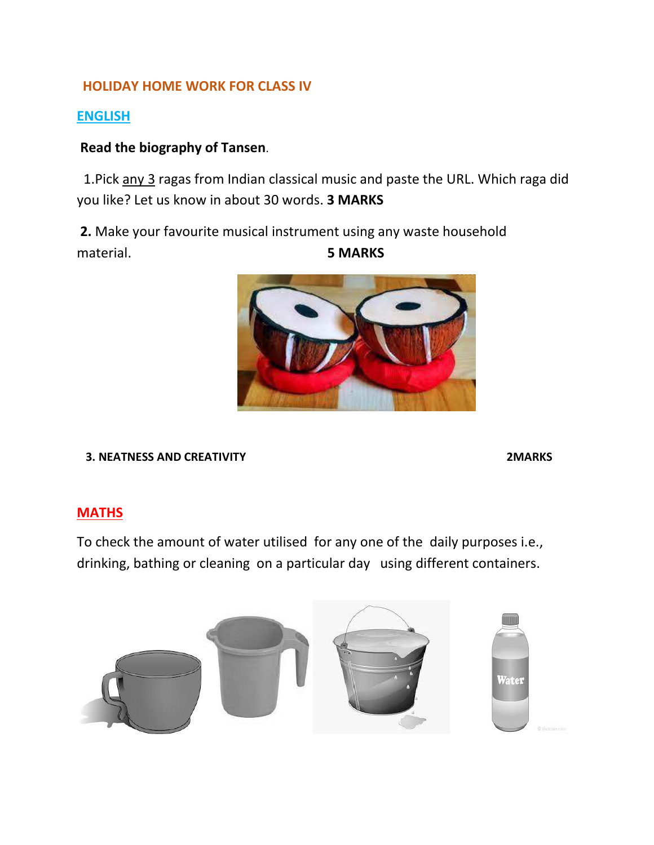## **HOLIDAY HOME WORK FOR CLASS IV**

## **ENGLISH**

## **Read the biography of Tansen**.

1. Pick any 3 ragas from Indian classical music and paste the URL. Which raga did you like? Let us know in about 30 words. **3 MARKS**

 **2.** Make your favourite musical instrument using any waste household material. **5 MARKS**



 **3. NEATNESS AND CREATIVITY 2MARKS**

## **MATHS**

To check the amount of water utilised for any one of the daily purposes i.e., drinking, bathing or cleaning on a particular day using different containers.

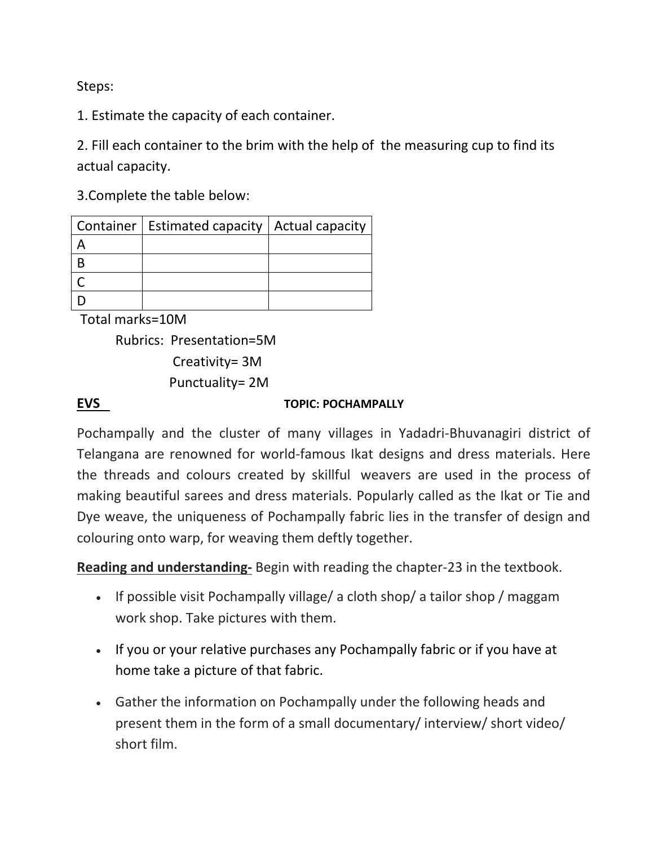Steps:

1. Estimate the capacity of each container.

2. Fill each container to the brim with the help of the measuring cup to find its actual capacity.

3.Complete the table below:

| Container   Estimated capacity   Actual capacity |  |
|--------------------------------------------------|--|
|                                                  |  |
|                                                  |  |
|                                                  |  |
|                                                  |  |

Total marks=10M

```
Rubrics: Presentation=5M
   Creativity= 3M
```
Punctuality= 2M

## **EVS TOPIC: POCHAMPALLY**

Pochampally and the cluster of many villages in Yadadri-Bhuvanagiri district of Telangana are renowned for world-famous Ikat designs and dress materials. Here the threads and colours created by skillful weavers are used in the process of making beautiful sarees and dress materials. Popularly called as the Ikat or Tie and Dye weave, the uniqueness of Pochampally fabric lies in the transfer of design and colouring onto warp, for weaving them deftly together.

**Reading and understanding-** Begin with reading the chapter-23 in the textbook.

- If possible visit Pochampally village/ a cloth shop/ a tailor shop/maggam work shop. Take pictures with them.
- If you or your relative purchases any Pochampally fabric or if you have at home take a picture of that fabric.
- Gather the information on Pochampally under the following heads and present them in the form of a small documentary/ interview/ short video/ short film.